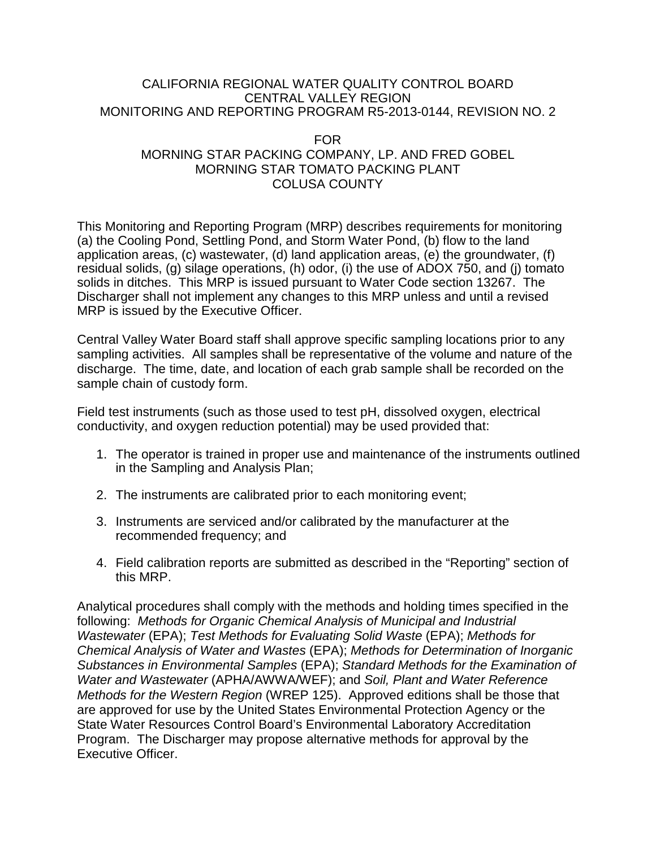### CALIFORNIA REGIONAL WATER QUALITY CONTROL BOARD CENTRAL VALLEY REGION MONITORING AND REPORTING PROGRAM R5-2013-0144, REVISION NO. 2

### FOR MORNING STAR PACKING COMPANY, LP. AND FRED GOBEL MORNING STAR TOMATO PACKING PLANT COLUSA COUNTY

This Monitoring and Reporting Program (MRP) describes requirements for monitoring (a) the Cooling Pond, Settling Pond, and Storm Water Pond, (b) flow to the land application areas, (c) wastewater, (d) land application areas, (e) the groundwater, (f) residual solids, (g) silage operations, (h) odor, (i) the use of ADOX 750, and (j) tomato solids in ditches. This MRP is issued pursuant to Water Code section 13267. The Discharger shall not implement any changes to this MRP unless and until a revised MRP is issued by the Executive Officer.

Central Valley Water Board staff shall approve specific sampling locations prior to any sampling activities. All samples shall be representative of the volume and nature of the discharge. The time, date, and location of each grab sample shall be recorded on the sample chain of custody form.

Field test instruments (such as those used to test pH, dissolved oxygen, electrical conductivity, and oxygen reduction potential) may be used provided that:

- 1. The operator is trained in proper use and maintenance of the instruments outlined in the Sampling and Analysis Plan;
- 2. The instruments are calibrated prior to each monitoring event;
- 3. Instruments are serviced and/or calibrated by the manufacturer at the recommended frequency; and
- 4. Field calibration reports are submitted as described in the "Reporting" section of this MRP.

Analytical procedures shall comply with the methods and holding times specified in the following: *Methods for Organic Chemical Analysis of Municipal and Industrial Wastewater* (EPA); *Test Methods for Evaluating Solid Waste* (EPA); *Methods for Chemical Analysis of Water and Wastes* (EPA); *Methods for Determination of Inorganic Substances in Environmental Samples* (EPA); *Standard Methods for the Examination of Water and Wastewater* (APHA/AWWA/WEF); and *Soil, Plant and Water Reference Methods for the Western Region* (WREP 125). Approved editions shall be those that are approved for use by the United States Environmental Protection Agency or the State Water Resources Control Board's Environmental Laboratory Accreditation Program. The Discharger may propose alternative methods for approval by the Executive Officer.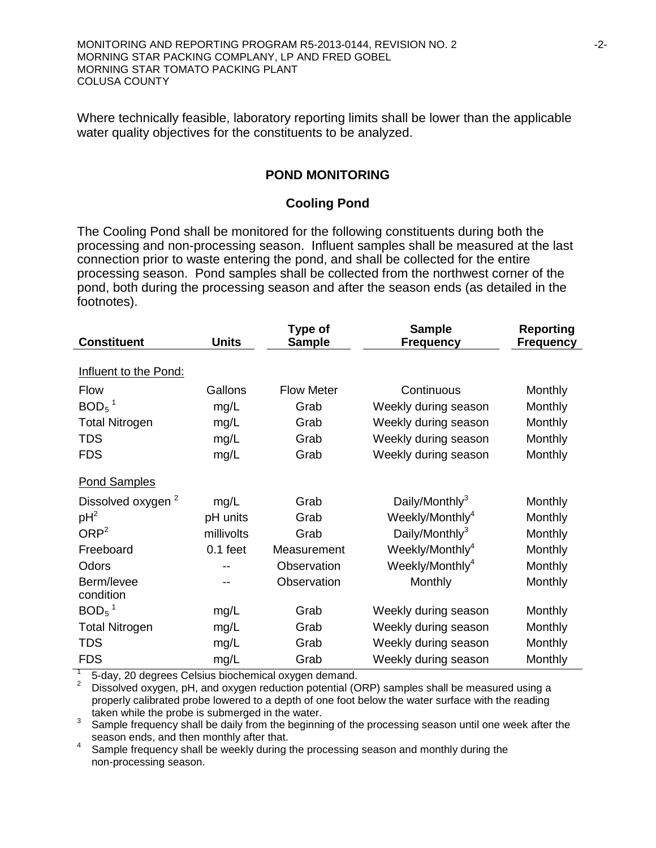MONITORING AND REPORTING PROGRAM R5-2013-0144, REVISION NO. 2 -2-MORNING STAR PACKING COMPLANY, LP AND FRED GOBEL MORNING STAR TOMATO PACKING PLANT COLUSA COUNTY

Where technically feasible, laboratory reporting limits shall be lower than the applicable water quality objectives for the constituents to be analyzed.

### **POND MONITORING**

#### **Cooling Pond**

The Cooling Pond shall be monitored for the following constituents during both the processing and non-processing season. Influent samples shall be measured at the last connection prior to waste entering the pond, and shall be collected for the entire processing season. Pond samples shall be collected from the northwest corner of the pond, both during the processing season and after the season ends (as detailed in the footnotes).

| <b>Constituent</b>            | <b>Units</b> | Type of<br><b>Sample</b> | <b>Sample</b><br><b>Frequency</b> | <b>Reporting</b><br><b>Frequency</b> |
|-------------------------------|--------------|--------------------------|-----------------------------------|--------------------------------------|
| Influent to the Pond:         |              |                          |                                   |                                      |
| <b>Flow</b>                   | Gallons      | <b>Flow Meter</b>        | Continuous                        | Monthly                              |
| $BOD5$ <sup>1</sup>           | mg/L         | Grab                     | Weekly during season              | Monthly                              |
| <b>Total Nitrogen</b>         | mg/L         | Grab                     | Weekly during season              | Monthly                              |
| <b>TDS</b>                    | mg/L         | Grab                     | Weekly during season              | Monthly                              |
| <b>FDS</b>                    | mg/L         | Grab                     | Weekly during season              | Monthly                              |
| <b>Pond Samples</b>           |              |                          |                                   |                                      |
| Dissolved oxygen <sup>2</sup> | mg/L         | Grab                     | Daily/Monthly <sup>3</sup>        | Monthly                              |
| $pH^2$                        | pH units     | Grab                     | Weekly/Monthly <sup>4</sup>       | Monthly                              |
| ORP <sup>2</sup>              | millivolts   | Grab                     | Daily/Monthly <sup>3</sup>        | Monthly                              |
| Freeboard                     | $0.1$ feet   | Measurement              | Weekly/Monthly <sup>4</sup>       | Monthly                              |
| Odors                         |              | Observation              | Weekly/Monthly <sup>4</sup>       | Monthly                              |
| Berm/levee<br>condition       | --           | Observation              | Monthly                           | Monthly                              |
| $BOD5$ <sup>1</sup>           | mg/L         | Grab                     | Weekly during season              | Monthly                              |
| <b>Total Nitrogen</b>         | mg/L         | Grab                     | Weekly during season              | Monthly                              |
| <b>TDS</b>                    | mg/L         | Grab                     | Weekly during season              | Monthly                              |
| <b>FDS</b>                    | mg/L         | Grab                     | Weekly during season              | Monthly                              |

1 5-day, 20 degrees Celsius biochemical oxygen demand.<br><sup>2</sup> Dissolved oxygen, pH, and oxygen reduction potential (ORP) samples shall be measured using a properly calibrated probe lowered to a depth of one foot below the water surface with the reading taken while the probe is submerged in the water.

taken while the probe is submerged in the measure.<br>
Sample frequency shall be daily from the beginning of the processing season until one week after the<br>
season ends, and then monthly after that.

season ends, and then monthly after that.  $\frac{1}{2}$  is the monthly during the Sample frequency shall be weekly during the processing season and monthly during the non-processing season.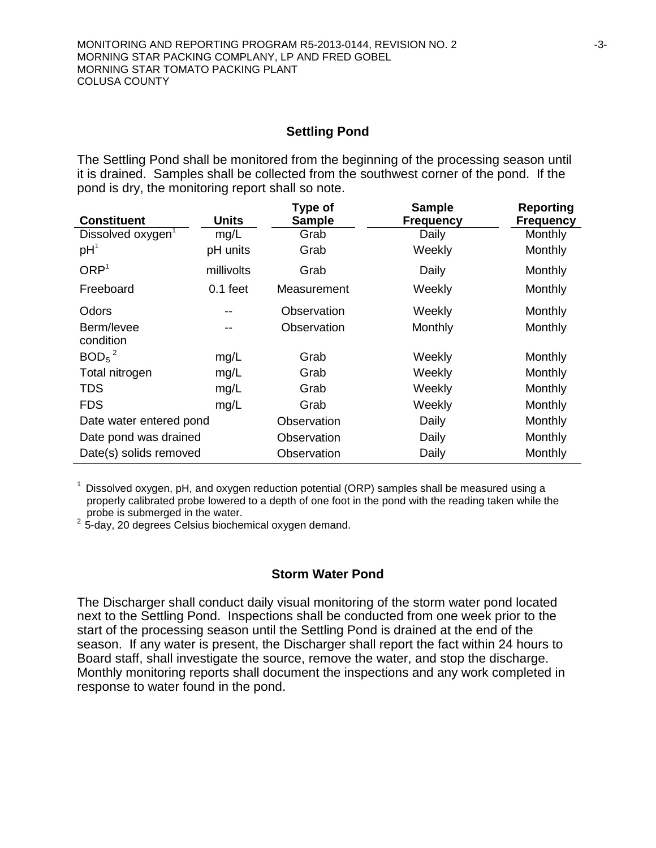#### **Settling Pond**

The Settling Pond shall be monitored from the beginning of the processing season until it is drained. Samples shall be collected from the southwest corner of the pond. If the pond is dry, the monitoring report shall so note.

| <b>Constituent</b>            | <b>Units</b> | Type of<br><b>Sample</b> | <b>Sample</b><br><b>Frequency</b> | Reporting<br><b>Frequency</b> |
|-------------------------------|--------------|--------------------------|-----------------------------------|-------------------------------|
| Dissolved oxygen <sup>1</sup> | mg/L         | Grab                     | Daily                             | Monthly                       |
| pH <sup>1</sup>               | pH units     | Grab                     | Weekly                            | Monthly                       |
| ORP <sup>1</sup>              | millivolts   | Grab                     | Daily                             | Monthly                       |
| Freeboard                     | $0.1$ feet   | Measurement              | Weekly                            | Monthly                       |
| Odors                         | --           | Observation              | Weekly                            | Monthly                       |
| Berm/levee<br>condition       | --           | Observation              | Monthly                           | Monthly                       |
| $BOD5$ <sup>2</sup>           | mg/L         | Grab                     | Weekly                            | Monthly                       |
| Total nitrogen                | mg/L         | Grab                     | Weekly                            | Monthly                       |
| <b>TDS</b>                    | mg/L         | Grab                     | Weekly                            | Monthly                       |
| <b>FDS</b>                    | mg/L         | Grab                     | Weekly                            | Monthly                       |
| Date water entered pond       |              | Observation              | Daily                             | Monthly                       |
| Date pond was drained         |              | Observation              | Daily                             | Monthly                       |
| Date(s) solids removed        |              | Observation              | Daily                             | Monthly                       |

 $1$  Dissolved oxygen, pH, and oxygen reduction potential (ORP) samples shall be measured using a properly calibrated probe lowered to a depth of one foot in the pond with the reading taken while the probe is submerged in the water.

probe is submerged in the water. 2 5-day, 20 degrees Celsius biochemical oxygen demand.

#### **Storm Water Pond**

The Discharger shall conduct daily visual monitoring of the storm water pond located next to the Settling Pond. Inspections shall be conducted from one week prior to the start of the processing season until the Settling Pond is drained at the end of the season. If any water is present, the Discharger shall report the fact within 24 hours to Board staff, shall investigate the source, remove the water, and stop the discharge. Monthly monitoring reports shall document the inspections and any work completed in response to water found in the pond.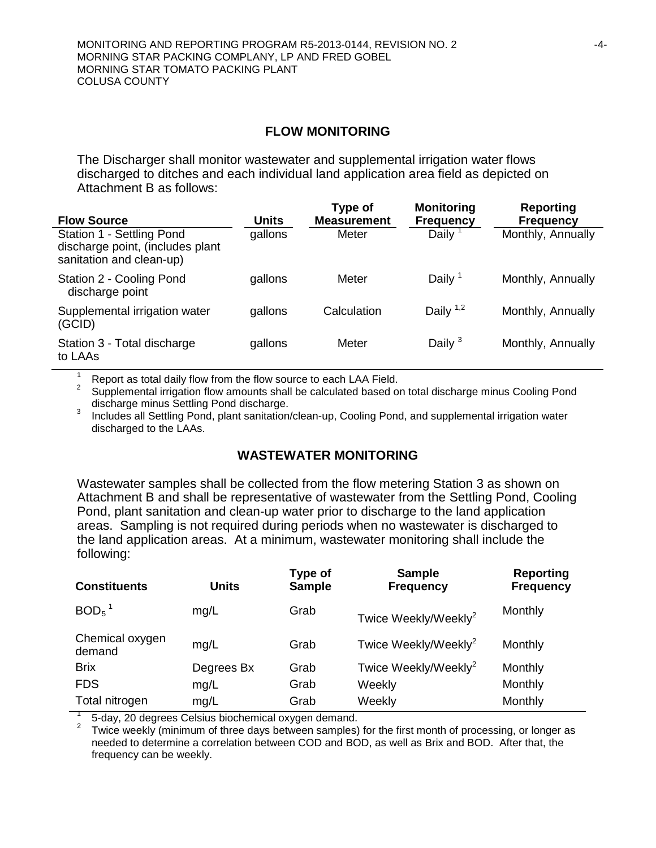#### **FLOW MONITORING**

The Discharger shall monitor wastewater and supplemental irrigation water flows discharged to ditches and each individual land application area field as depicted on Attachment B as follows:

| <b>Flow Source</b>                                                                        | Units   | Type of<br><b>Measurement</b> | <b>Monitoring</b><br><b>Frequency</b> | <b>Reporting</b><br><b>Frequency</b> |
|-------------------------------------------------------------------------------------------|---------|-------------------------------|---------------------------------------|--------------------------------------|
| Station 1 - Settling Pond<br>discharge point, (includes plant<br>sanitation and clean-up) | gallons | Meter                         | Daily $1$                             | Monthly, Annually                    |
| Station 2 - Cooling Pond<br>discharge point                                               | gallons | Meter                         | Daily $1$                             | Monthly, Annually                    |
| Supplemental irrigation water<br>(GCID)                                                   | gallons | Calculation                   | Daily $1,2$                           | Monthly, Annually                    |
| Station 3 - Total discharge<br>to LAAs                                                    | gallons | Meter                         | Daily $3$                             | Monthly, Annually                    |

<sup>1</sup> Report as total daily flow from the flow source to each LAA Field.<br><sup>2</sup> Supplemental irrigation flow amounts shall be calculated based on total discharge minus Cooling Pond discharge.

Includes all Settling Pond, plant sanitation/clean-up, Cooling Pond, and supplemental irrigation water discharged to the LAAs.

### **WASTEWATER MONITORING**

Wastewater samples shall be collected from the flow metering Station 3 as shown on Attachment B and shall be representative of wastewater from the Settling Pond, Cooling Pond, plant sanitation and clean-up water prior to discharge to the land application areas. Sampling is not required during periods when no wastewater is discharged to the land application areas. At a minimum, wastewater monitoring shall include the following:

| <b>Units</b> | Type of<br><b>Sample</b> | <b>Sample</b><br><b>Frequency</b> | <b>Reporting</b><br><b>Frequency</b> |
|--------------|--------------------------|-----------------------------------|--------------------------------------|
| mg/L         | Grab                     | Twice Weekly/Weekly <sup>2</sup>  | Monthly                              |
| mg/L         | Grab                     | Twice Weekly/Weekly <sup>2</sup>  | Monthly                              |
| Degrees Bx   | Grab                     | Twice Weekly/Weekly <sup>2</sup>  | Monthly                              |
| mg/L         | Grab                     | Weekly                            | Monthly                              |
| mg/L         | Grab                     | Weekly                            | Monthly                              |
|              |                          |                                   |                                      |

<sup>1</sup> 5-day, 20 degrees Celsius biochemical oxygen demand. <sup>2</sup> Twice weekly (minimum of three days between samples) for the first month of processing, or longer as needed to determine a correlation between COD and BOD, as well as Brix and BOD. After that, the frequency can be weekly.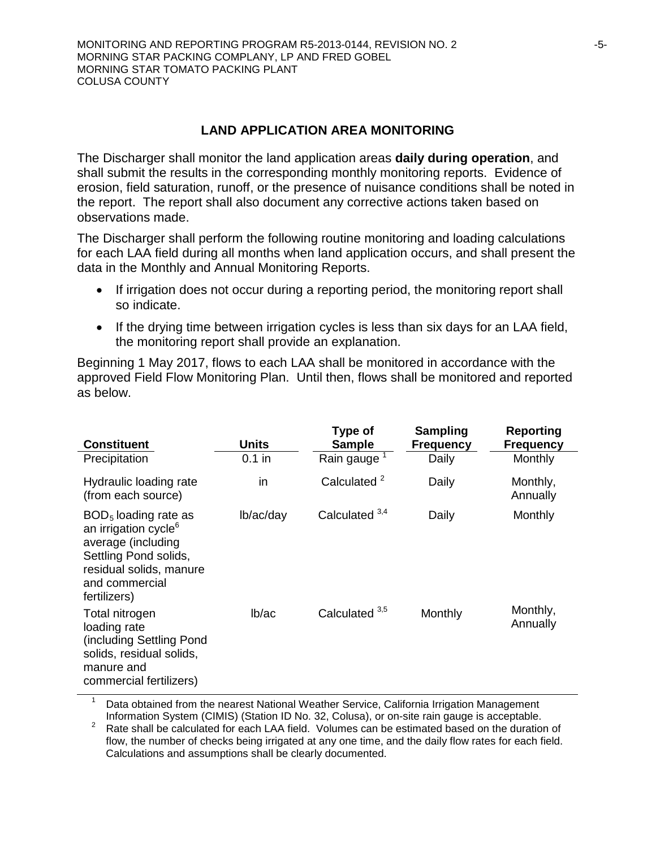### **LAND APPLICATION AREA MONITORING**

The Discharger shall monitor the land application areas **daily during operation**, and shall submit the results in the corresponding monthly monitoring reports. Evidence of erosion, field saturation, runoff, or the presence of nuisance conditions shall be noted in the report. The report shall also document any corrective actions taken based on observations made.

The Discharger shall perform the following routine monitoring and loading calculations for each LAA field during all months when land application occurs, and shall present the data in the Monthly and Annual Monitoring Reports.

- If irrigation does not occur during a reporting period, the monitoring report shall so indicate.
- If the drying time between irrigation cycles is less than six days for an LAA field, the monitoring report shall provide an explanation.

Beginning 1 May 2017, flows to each LAA shall be monitored in accordance with the approved Field Flow Monitoring Plan. Until then, flows shall be monitored and reported as below.

| <b>Constituent</b>                                                                                                                                                     | Units     | Type of<br><b>Sample</b>  | <b>Sampling</b><br><b>Frequency</b> | Reporting<br><b>Frequency</b> |
|------------------------------------------------------------------------------------------------------------------------------------------------------------------------|-----------|---------------------------|-------------------------------------|-------------------------------|
| Precipitation                                                                                                                                                          | $0.1$ in  | Rain gauge                | Daily                               | Monthly                       |
| Hydraulic loading rate<br>(from each source)                                                                                                                           | in        | Calculated <sup>2</sup>   | Daily                               | Monthly,<br>Annually          |
| $BOD5$ loading rate as<br>an irrigation cycle <sup>6</sup><br>average (including<br>Settling Pond solids,<br>residual solids, manure<br>and commercial<br>fertilizers) | lb/ac/day | Calculated 3,4            | Daily                               | Monthly                       |
| Total nitrogen<br>loading rate<br>(including Settling Pond<br>solids, residual solids,<br>manure and<br>commercial fertilizers)                                        | lb/ac     | Calculated <sup>3,5</sup> | Monthly                             | Monthly,<br>Annually          |

Data obtained from the nearest National Weather Service, California Irrigation Management

Information System (CIMIS) (Station ID No. 32, Colusa), or on-site rain gauge is acceptable. <sup>2</sup> Rate shall be calculated for each LAA field. Volumes can be estimated based on the duration of flow, the number of checks being irrigated at any one time, and the daily flow rates for each field. Calculations and assumptions shall be clearly documented.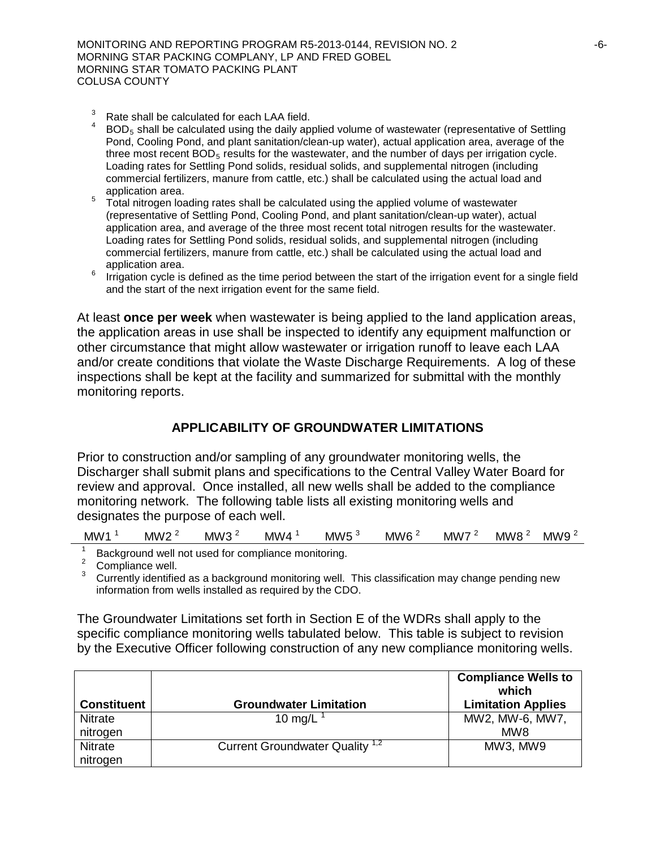- $3 \text{ Rate shall be calculated for each LAA field.}$
- $BOD<sub>5</sub>$  shall be calculated using the daily applied volume of wastewater (representative of Settling Pond, Cooling Pond, and plant sanitation/clean-up water), actual application area, average of the three most recent  $BOD<sub>5</sub>$  results for the wastewater, and the number of days per irrigation cycle. Loading rates for Settling Pond solids, residual solids, and supplemental nitrogen (including commercial fertilizers, manure from cattle, etc.) shall be calculated using the actual load and
- <sup>5</sup> Total nitrogen loading rates shall be calculated using the applied volume of wastewater (representative of Settling Pond, Cooling Pond, and plant sanitation/clean-up water), actual application area, and average of the three most recent total nitrogen results for the wastewater. Loading rates for Settling Pond solids, residual solids, and supplemental nitrogen (including commercial fertilizers, manure from cattle, etc.) shall be calculated using the actual load and
- $6$  Irrigation cycle is defined as the time period between the start of the irrigation event for a single field and the start of the next irrigation event for the same field.

At least **once per week** when wastewater is being applied to the land application areas, the application areas in use shall be inspected to identify any equipment malfunction or other circumstance that might allow wastewater or irrigation runoff to leave each LAA and/or create conditions that violate the Waste Discharge Requirements. A log of these inspections shall be kept at the facility and summarized for submittal with the monthly monitoring reports.

### **APPLICABILITY OF GROUNDWATER LIMITATIONS**

Prior to construction and/or sampling of any groundwater monitoring wells, the Discharger shall submit plans and specifications to the Central Valley Water Board for review and approval. Once installed, all new wells shall be added to the compliance monitoring network. The following table lists all existing monitoring wells and designates the purpose of each well.

| MW1 | <b>MW</b><br>- | MW <sup>-</sup> | ,,<br>Mν<br>'W | MW<br>. . | <b>MW</b> | <b>MW</b> | MW8 | МW<br>. . |
|-----|----------------|-----------------|----------------|-----------|-----------|-----------|-----|-----------|
|-----|----------------|-----------------|----------------|-----------|-----------|-----------|-----|-----------|

<sup>1</sup> Background well not used for compliance monitoring.<br><sup>2</sup> Compliance well.<br><sup>3</sup> Currently identified as a background monitoring well. This classification may change pending new information from wells installed as required by the CDO.

The Groundwater Limitations set forth in Section E of the WDRs shall apply to the specific compliance monitoring wells tabulated below. This table is subject to revision by the Executive Officer following construction of any new compliance monitoring wells.

| <b>Constituent</b> | <b>Groundwater Limitation</b>              | <b>Compliance Wells to</b><br>which<br><b>Limitation Applies</b> |
|--------------------|--------------------------------------------|------------------------------------------------------------------|
| <b>Nitrate</b>     | 10 mg/L                                    | MW2, MW-6, MW7,                                                  |
| nitrogen           |                                            | MW8                                                              |
| <b>Nitrate</b>     | Current Groundwater Quality <sup>1,2</sup> | MW3, MW9                                                         |
| nitrogen           |                                            |                                                                  |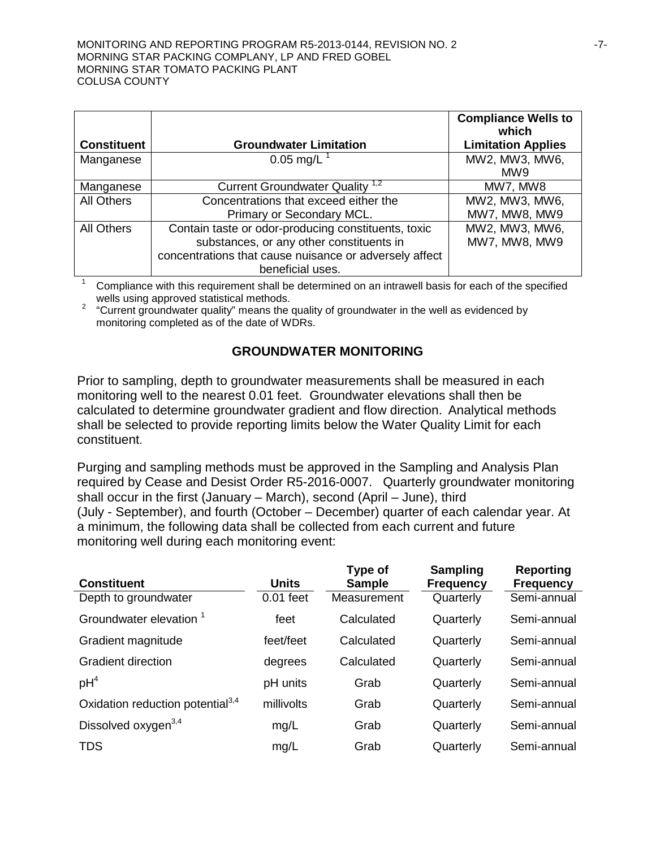|                    |                                                        | <b>Compliance Wells to</b><br>which |
|--------------------|--------------------------------------------------------|-------------------------------------|
| <b>Constituent</b> | <b>Groundwater Limitation</b>                          | <b>Limitation Applies</b>           |
| Manganese          | $0.05$ mg/L                                            | MW2, MW3, MW6,                      |
|                    |                                                        | MW <sub>9</sub>                     |
| Manganese          | Current Groundwater Quality <sup>1,2</sup>             | MW7, MW8                            |
| All Others         | Concentrations that exceed either the                  | MW2, MW3, MW6,                      |
|                    | Primary or Secondary MCL.                              | MW7, MW8, MW9                       |
| <b>All Others</b>  | Contain taste or odor-producing constituents, toxic    | MW2, MW3, MW6,                      |
|                    | substances, or any other constituents in               | MW7, MW8, MW9                       |
|                    | concentrations that cause nuisance or adversely affect |                                     |
|                    | beneficial uses.                                       |                                     |

<sup>1</sup> Compliance with this requirement shall be determined on an intrawell basis for each of the specified wells using approved statistical methods.

<sup>2</sup> "Current groundwater quality" means the quality of groundwater in the well as evidenced by monitoring completed as of the date of WDRs.

### **GROUNDWATER MONITORING**

Prior to sampling, depth to groundwater measurements shall be measured in each monitoring well to the nearest 0.01 feet. Groundwater elevations shall then be calculated to determine groundwater gradient and flow direction. Analytical methods shall be selected to provide reporting limits below the Water Quality Limit for each constituent.

Purging and sampling methods must be approved in the Sampling and Analysis Plan required by Cease and Desist Order R5-2016-0007. Quarterly groundwater monitoring shall occur in the first (January – March), second (April – June), third (July - September), and fourth (October – December) quarter of each calendar year. At a minimum, the following data shall be collected from each current and future monitoring well during each monitoring event:

| <b>Constituent</b>                           | <b>Units</b> | <b>Type of</b><br><b>Sample</b> | <b>Sampling</b><br><b>Frequency</b> | <b>Reporting</b><br><b>Frequency</b> |
|----------------------------------------------|--------------|---------------------------------|-------------------------------------|--------------------------------------|
| Depth to groundwater                         | $0.01$ feet  | Measurement                     | Quarterly                           | Semi-annual                          |
| Groundwater elevation <sup>1</sup>           | feet         | Calculated                      | Quarterly                           | Semi-annual                          |
| Gradient magnitude                           | feet/feet    | Calculated                      | Quarterly                           | Semi-annual                          |
| <b>Gradient direction</b>                    | degrees      | Calculated                      | Quarterly                           | Semi-annual                          |
| $pH^4$                                       | pH units     | Grab                            | Quarterly                           | Semi-annual                          |
| Oxidation reduction potential <sup>3,4</sup> | millivolts   | Grab                            | Quarterly                           | Semi-annual                          |
| Dissolved oxygen <sup>3,4</sup>              | mg/L         | Grab                            | Quarterly                           | Semi-annual                          |
| <b>TDS</b>                                   | mg/L         | Grab                            | Quarterly                           | Semi-annual                          |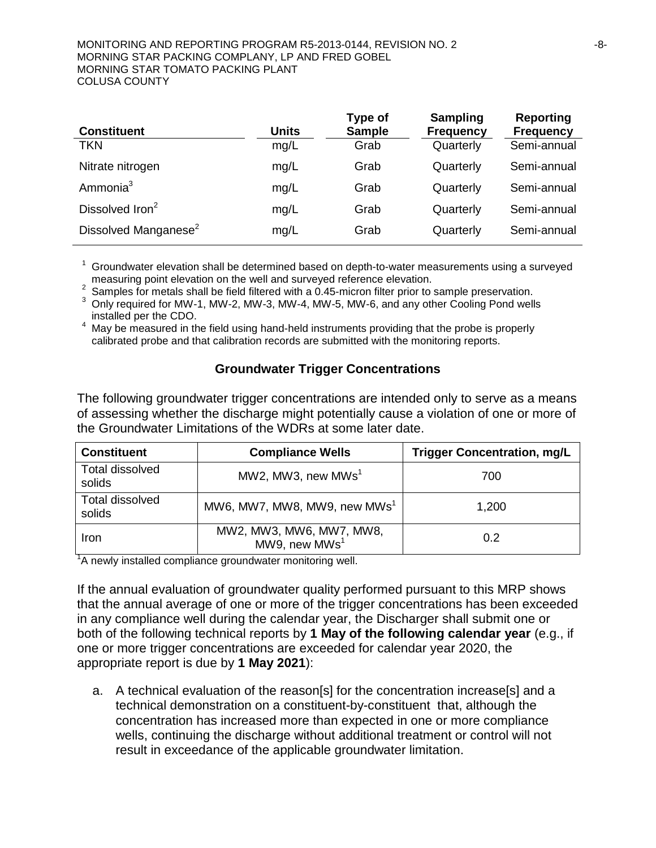#### MONITORING AND REPORTING PROGRAM R5-2013-0144, REVISION NO. 2  $-8$ -MORNING STAR PACKING COMPLANY, LP AND FRED GOBEL MORNING STAR TOMATO PACKING PLANT COLUSA COUNTY

| <b>Constituent</b>               | <b>Units</b> | Type of<br><b>Sample</b> | <b>Sampling</b><br><b>Frequency</b> | <b>Reporting</b><br><b>Frequency</b> |
|----------------------------------|--------------|--------------------------|-------------------------------------|--------------------------------------|
| <b>TKN</b>                       | mg/L         | Grab                     | Quarterly                           | Semi-annual                          |
| Nitrate nitrogen                 | mg/L         | Grab                     | Quarterly                           | Semi-annual                          |
| Ammonia <sup>3</sup>             | mg/L         | Grab                     | Quarterly                           | Semi-annual                          |
| Dissolved Iron <sup>2</sup>      | mg/L         | Grab                     | Quarterly                           | Semi-annual                          |
| Dissolved Manganese <sup>2</sup> | mg/L         | Grab                     | Quarterly                           | Semi-annual                          |

<sup>1</sup> Groundwater elevation shall be determined based on depth-to-water measurements using a surveyed measuring point elevation on the well and surveyed reference elevation.

<sup>2</sup> Samples for metals shall be field filtered with a 0.45-micron filter prior to sample preservation.<br><sup>3</sup> Only required for MW-1, MW-2, MW-3, MW-4, MW-5, MW-6, and any other Cooling Pond wells installed per the CDO.

May be measured in the field using hand-held instruments providing that the probe is properly calibrated probe and that calibration records are submitted with the monitoring reports.

### **Groundwater Trigger Concentrations**

The following groundwater trigger concentrations are intended only to serve as a means of assessing whether the discharge might potentially cause a violation of one or more of the Groundwater Limitations of the WDRs at some later date.

| <b>Constituent</b>        | <b>Compliance Wells</b>                               | <b>Trigger Concentration, mg/L</b> |
|---------------------------|-------------------------------------------------------|------------------------------------|
| Total dissolved<br>solids | MW2, MW3, new MWs <sup>1</sup>                        | 700                                |
| Total dissolved<br>solids | MW6, MW7, MW8, MW9, new MWs <sup>1</sup>              | 1,200                              |
| Iron                      | MW2, MW3, MW6, MW7, MW8,<br>MW9, new MWs <sup>1</sup> | 0.2                                |

<sup>1</sup>A newly installed compliance groundwater monitoring well.

If the annual evaluation of groundwater quality performed pursuant to this MRP shows that the annual average of one or more of the trigger concentrations has been exceeded in any compliance well during the calendar year, the Discharger shall submit one or both of the following technical reports by **1 May of the following calendar year** (e.g., if one or more trigger concentrations are exceeded for calendar year 2020, the appropriate report is due by **1 May 2021**):

a. A technical evaluation of the reason[s] for the concentration increase[s] and a technical demonstration on a constituent-by-constituent that, although the concentration has increased more than expected in one or more compliance wells, continuing the discharge without additional treatment or control will not result in exceedance of the applicable groundwater limitation.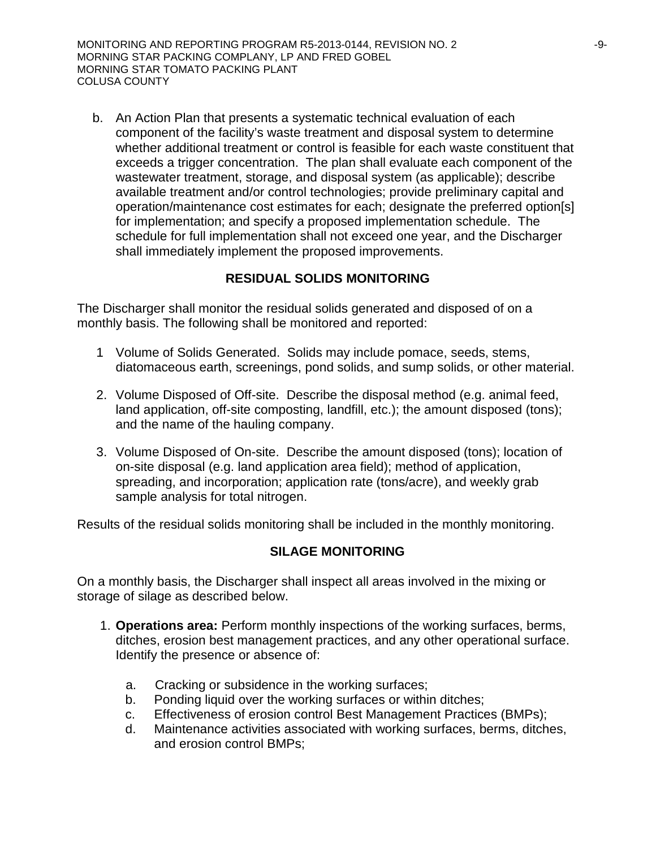b. An Action Plan that presents a systematic technical evaluation of each component of the facility's waste treatment and disposal system to determine whether additional treatment or control is feasible for each waste constituent that exceeds a trigger concentration. The plan shall evaluate each component of the wastewater treatment, storage, and disposal system (as applicable); describe available treatment and/or control technologies; provide preliminary capital and operation/maintenance cost estimates for each; designate the preferred option[s] for implementation; and specify a proposed implementation schedule. The schedule for full implementation shall not exceed one year, and the Discharger shall immediately implement the proposed improvements.

# **RESIDUAL SOLIDS MONITORING**

The Discharger shall monitor the residual solids generated and disposed of on a monthly basis. The following shall be monitored and reported:

- 1 Volume of Solids Generated. Solids may include pomace, seeds, stems, diatomaceous earth, screenings, pond solids, and sump solids, or other material.
- 2. Volume Disposed of Off-site. Describe the disposal method (e.g. animal feed, land application, off-site composting, landfill, etc.); the amount disposed (tons); and the name of the hauling company.
- 3. Volume Disposed of On-site. Describe the amount disposed (tons); location of on-site disposal (e.g. land application area field); method of application, spreading, and incorporation; application rate (tons/acre), and weekly grab sample analysis for total nitrogen.

Results of the residual solids monitoring shall be included in the monthly monitoring.

# **SILAGE MONITORING**

On a monthly basis, the Discharger shall inspect all areas involved in the mixing or storage of silage as described below.

- 1. **Operations area:** Perform monthly inspections of the working surfaces, berms, ditches, erosion best management practices, and any other operational surface. Identify the presence or absence of:
	- a. Cracking or subsidence in the working surfaces;
	- b. Ponding liquid over the working surfaces or within ditches;
	- c. Effectiveness of erosion control Best Management Practices (BMPs);
	- d. Maintenance activities associated with working surfaces, berms, ditches, and erosion control BMPs;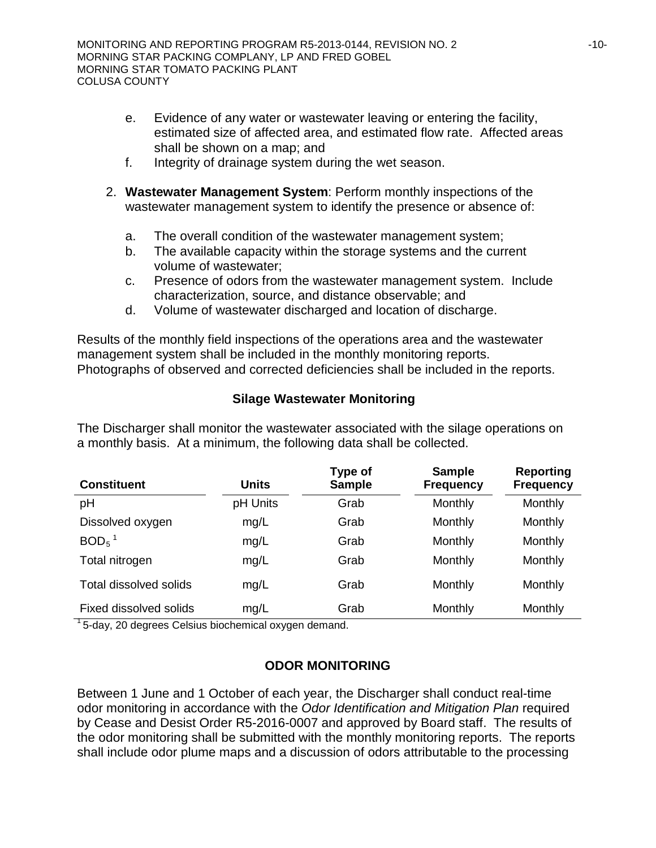- e. Evidence of any water or wastewater leaving or entering the facility, estimated size of affected area, and estimated flow rate. Affected areas shall be shown on a map; and
- f. Integrity of drainage system during the wet season.
- 2. **Wastewater Management System**: Perform monthly inspections of the wastewater management system to identify the presence or absence of:
	- a. The overall condition of the wastewater management system;
	- b. The available capacity within the storage systems and the current volume of wastewater;
	- c. Presence of odors from the wastewater management system. Include characterization, source, and distance observable; and
	- d. Volume of wastewater discharged and location of discharge.

Results of the monthly field inspections of the operations area and the wastewater management system shall be included in the monthly monitoring reports. Photographs of observed and corrected deficiencies shall be included in the reports.

### **Silage Wastewater Monitoring**

The Discharger shall monitor the wastewater associated with the silage operations on a monthly basis. At a minimum, the following data shall be collected.

| <b>Constituent</b>     | <b>Units</b> | Type of<br><b>Sample</b> | <b>Sample</b><br><b>Frequency</b> | <b>Reporting</b><br><b>Frequency</b> |
|------------------------|--------------|--------------------------|-----------------------------------|--------------------------------------|
| pH                     | pH Units     | Grab                     | Monthly                           | Monthly                              |
| Dissolved oxygen       | mg/L         | Grab                     | Monthly                           | Monthly                              |
| $BOD5$ <sup>1</sup>    | mg/L         | Grab                     | Monthly                           | Monthly                              |
| Total nitrogen         | mg/L         | Grab                     | Monthly                           | Monthly                              |
| Total dissolved solids | mg/L         | Grab                     | Monthly                           | Monthly                              |
| Fixed dissolved solids | mg/L         | Grab                     | Monthly                           | Monthly                              |

 $1$ <sub>5</sub>-day, 20 degrees Celsius biochemical oxygen demand.

# **ODOR MONITORING**

Between 1 June and 1 October of each year, the Discharger shall conduct real-time odor monitoring in accordance with the *Odor Identification and Mitigation Plan* required by Cease and Desist Order R5-2016-0007 and approved by Board staff. The results of the odor monitoring shall be submitted with the monthly monitoring reports. The reports shall include odor plume maps and a discussion of odors attributable to the processing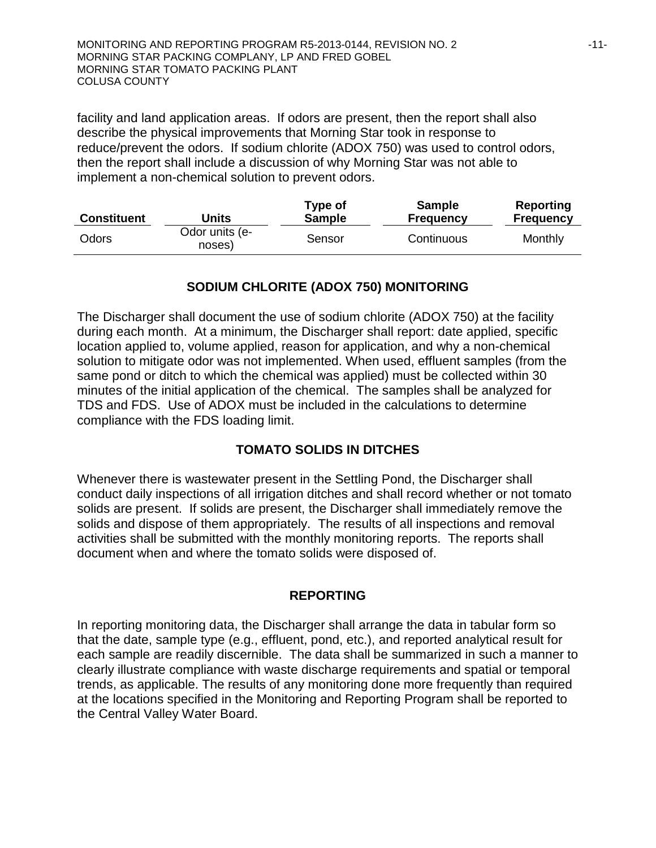facility and land application areas. If odors are present, then the report shall also describe the physical improvements that Morning Star took in response to reduce/prevent the odors. If sodium chlorite (ADOX 750) was used to control odors, then the report shall include a discussion of why Morning Star was not able to implement a non-chemical solution to prevent odors.

| <b>Constituent</b> | Units                    | Type of<br><b>Sample</b> | <b>Sample</b><br><b>Frequency</b> | Reporting<br><b>Frequency</b> |
|--------------------|--------------------------|--------------------------|-----------------------------------|-------------------------------|
| Odors              | Odor units (e-<br>noses) | Sensor                   | Continuous                        | Monthly                       |

# **SODIUM CHLORITE (ADOX 750) MONITORING**

The Discharger shall document the use of sodium chlorite (ADOX 750) at the facility during each month. At a minimum, the Discharger shall report: date applied, specific location applied to, volume applied, reason for application, and why a non-chemical solution to mitigate odor was not implemented. When used, effluent samples (from the same pond or ditch to which the chemical was applied) must be collected within 30 minutes of the initial application of the chemical. The samples shall be analyzed for TDS and FDS. Use of ADOX must be included in the calculations to determine compliance with the FDS loading limit.

# **TOMATO SOLIDS IN DITCHES**

Whenever there is wastewater present in the Settling Pond, the Discharger shall conduct daily inspections of all irrigation ditches and shall record whether or not tomato solids are present. If solids are present, the Discharger shall immediately remove the solids and dispose of them appropriately. The results of all inspections and removal activities shall be submitted with the monthly monitoring reports. The reports shall document when and where the tomato solids were disposed of.

# **REPORTING**

In reporting monitoring data, the Discharger shall arrange the data in tabular form so that the date, sample type (e.g., effluent, pond, etc.), and reported analytical result for each sample are readily discernible. The data shall be summarized in such a manner to clearly illustrate compliance with waste discharge requirements and spatial or temporal trends, as applicable. The results of any monitoring done more frequently than required at the locations specified in the Monitoring and Reporting Program shall be reported to the Central Valley Water Board.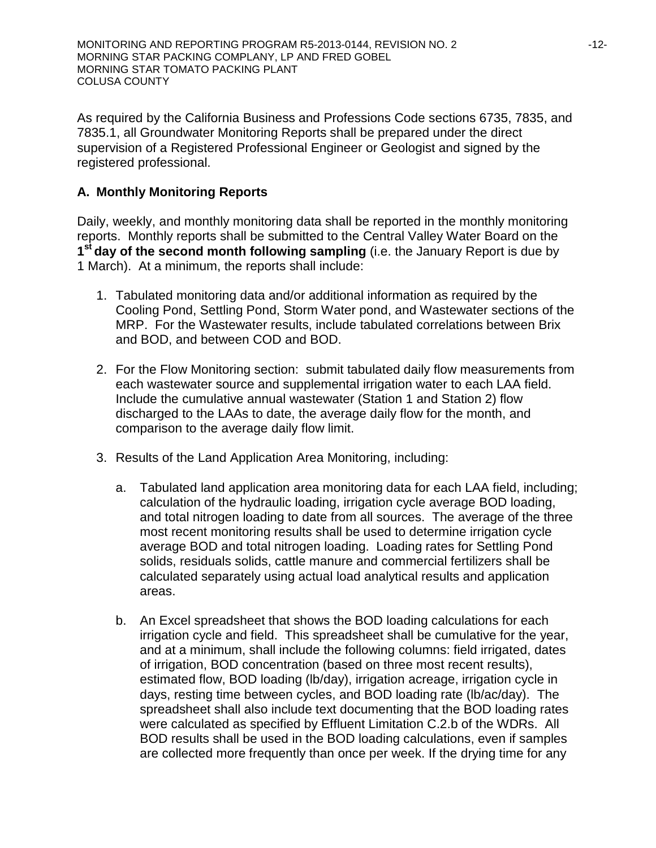As required by the California Business and Professions Code sections 6735, 7835, and 7835.1, all Groundwater Monitoring Reports shall be prepared under the direct supervision of a Registered Professional Engineer or Geologist and signed by the registered professional.

# **A. Monthly Monitoring Reports**

Daily, weekly, and monthly monitoring data shall be reported in the monthly monitoring reports. Monthly reports shall be submitted to the Central Valley Water Board on the **1st day of the second month following sampling** (i.e. the January Report is due by 1 March). At a minimum, the reports shall include:

- 1. Tabulated monitoring data and/or additional information as required by the Cooling Pond, Settling Pond, Storm Water pond, and Wastewater sections of the MRP. For the Wastewater results, include tabulated correlations between Brix and BOD, and between COD and BOD.
- 2. For the Flow Monitoring section: submit tabulated daily flow measurements from each wastewater source and supplemental irrigation water to each LAA field. Include the cumulative annual wastewater (Station 1 and Station 2) flow discharged to the LAAs to date, the average daily flow for the month, and comparison to the average daily flow limit.
- 3. Results of the Land Application Area Monitoring, including:
	- a. Tabulated land application area monitoring data for each LAA field, including; calculation of the hydraulic loading, irrigation cycle average BOD loading, and total nitrogen loading to date from all sources. The average of the three most recent monitoring results shall be used to determine irrigation cycle average BOD and total nitrogen loading. Loading rates for Settling Pond solids, residuals solids, cattle manure and commercial fertilizers shall be calculated separately using actual load analytical results and application areas.
	- b. An Excel spreadsheet that shows the BOD loading calculations for each irrigation cycle and field. This spreadsheet shall be cumulative for the year, and at a minimum, shall include the following columns: field irrigated, dates of irrigation, BOD concentration (based on three most recent results), estimated flow, BOD loading (lb/day), irrigation acreage, irrigation cycle in days, resting time between cycles, and BOD loading rate (lb/ac/day). The spreadsheet shall also include text documenting that the BOD loading rates were calculated as specified by Effluent Limitation C.2.b of the WDRs. All BOD results shall be used in the BOD loading calculations, even if samples are collected more frequently than once per week. If the drying time for any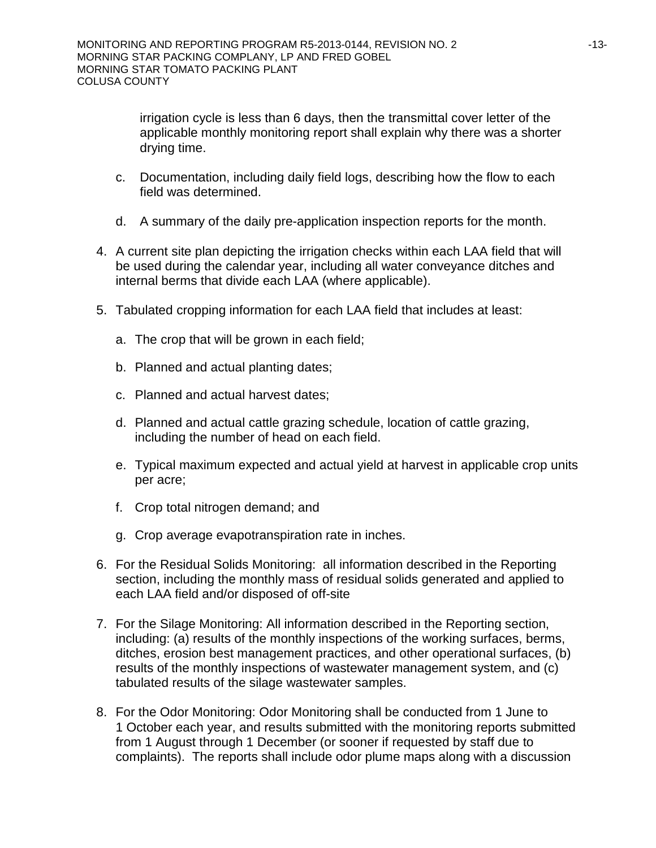irrigation cycle is less than 6 days, then the transmittal cover letter of the applicable monthly monitoring report shall explain why there was a shorter drying time.

- c. Documentation, including daily field logs, describing how the flow to each field was determined.
- d. A summary of the daily pre-application inspection reports for the month.
- 4. A current site plan depicting the irrigation checks within each LAA field that will be used during the calendar year, including all water conveyance ditches and internal berms that divide each LAA (where applicable).
- 5. Tabulated cropping information for each LAA field that includes at least:
	- a. The crop that will be grown in each field;
	- b. Planned and actual planting dates;
	- c. Planned and actual harvest dates;
	- d. Planned and actual cattle grazing schedule, location of cattle grazing, including the number of head on each field.
	- e. Typical maximum expected and actual yield at harvest in applicable crop units per acre;
	- f. Crop total nitrogen demand; and
	- g. Crop average evapotranspiration rate in inches.
- 6. For the Residual Solids Monitoring: all information described in the Reporting section, including the monthly mass of residual solids generated and applied to each LAA field and/or disposed of off-site
- 7. For the Silage Monitoring: All information described in the Reporting section, including: (a) results of the monthly inspections of the working surfaces, berms, ditches, erosion best management practices, and other operational surfaces, (b) results of the monthly inspections of wastewater management system, and (c) tabulated results of the silage wastewater samples.
- 8. For the Odor Monitoring: Odor Monitoring shall be conducted from 1 June to 1 October each year, and results submitted with the monitoring reports submitted from 1 August through 1 December (or sooner if requested by staff due to complaints). The reports shall include odor plume maps along with a discussion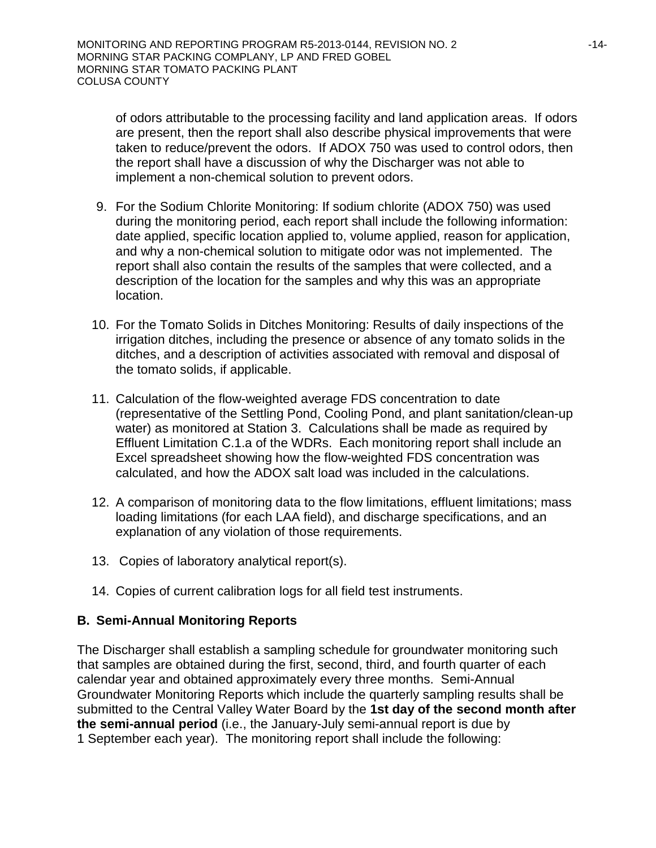of odors attributable to the processing facility and land application areas. If odors are present, then the report shall also describe physical improvements that were taken to reduce/prevent the odors. If ADOX 750 was used to control odors, then the report shall have a discussion of why the Discharger was not able to implement a non-chemical solution to prevent odors.

- 9. For the Sodium Chlorite Monitoring: If sodium chlorite (ADOX 750) was used during the monitoring period, each report shall include the following information: date applied, specific location applied to, volume applied, reason for application, and why a non-chemical solution to mitigate odor was not implemented. The report shall also contain the results of the samples that were collected, and a description of the location for the samples and why this was an appropriate location.
- 10. For the Tomato Solids in Ditches Monitoring: Results of daily inspections of the irrigation ditches, including the presence or absence of any tomato solids in the ditches, and a description of activities associated with removal and disposal of the tomato solids, if applicable.
- 11. Calculation of the flow-weighted average FDS concentration to date (representative of the Settling Pond, Cooling Pond, and plant sanitation/clean-up water) as monitored at Station 3. Calculations shall be made as required by Effluent Limitation C.1.a of the WDRs. Each monitoring report shall include an Excel spreadsheet showing how the flow-weighted FDS concentration was calculated, and how the ADOX salt load was included in the calculations.
- 12. A comparison of monitoring data to the flow limitations, effluent limitations; mass loading limitations (for each LAA field), and discharge specifications, and an explanation of any violation of those requirements.
- 13. Copies of laboratory analytical report(s).
- 14. Copies of current calibration logs for all field test instruments.

# **B. Semi-Annual Monitoring Reports**

The Discharger shall establish a sampling schedule for groundwater monitoring such that samples are obtained during the first, second, third, and fourth quarter of each calendar year and obtained approximately every three months. Semi-Annual Groundwater Monitoring Reports which include the quarterly sampling results shall be submitted to the Central Valley Water Board by the **1st day of the second month after the semi-annual period** (i.e., the January-July semi-annual report is due by 1 September each year). The monitoring report shall include the following: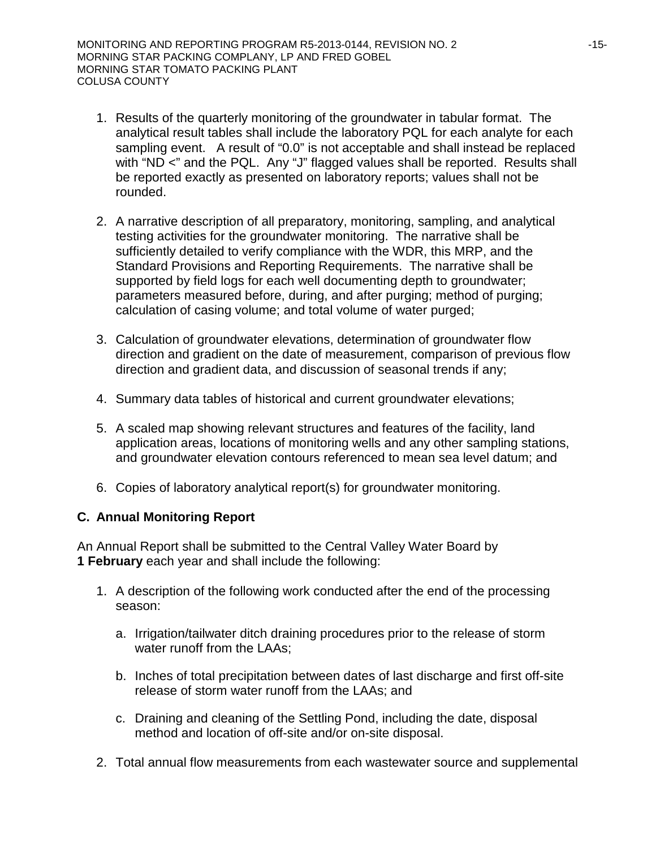- 1. Results of the quarterly monitoring of the groundwater in tabular format. The analytical result tables shall include the laboratory PQL for each analyte for each sampling event. A result of "0.0" is not acceptable and shall instead be replaced with "ND <" and the PQL. Any "J" flagged values shall be reported. Results shall be reported exactly as presented on laboratory reports; values shall not be rounded.
- 2. A narrative description of all preparatory, monitoring, sampling, and analytical testing activities for the groundwater monitoring. The narrative shall be sufficiently detailed to verify compliance with the WDR, this MRP, and the Standard Provisions and Reporting Requirements. The narrative shall be supported by field logs for each well documenting depth to groundwater; parameters measured before, during, and after purging; method of purging; calculation of casing volume; and total volume of water purged;
- 3. Calculation of groundwater elevations, determination of groundwater flow direction and gradient on the date of measurement, comparison of previous flow direction and gradient data, and discussion of seasonal trends if any;
- 4. Summary data tables of historical and current groundwater elevations;
- 5. A scaled map showing relevant structures and features of the facility, land application areas, locations of monitoring wells and any other sampling stations, and groundwater elevation contours referenced to mean sea level datum; and
- 6. Copies of laboratory analytical report(s) for groundwater monitoring.

# **C. Annual Monitoring Report**

An Annual Report shall be submitted to the Central Valley Water Board by **1 February** each year and shall include the following:

- 1. A description of the following work conducted after the end of the processing season:
	- a. Irrigation/tailwater ditch draining procedures prior to the release of storm water runoff from the LAAs;
	- b. Inches of total precipitation between dates of last discharge and first off-site release of storm water runoff from the LAAs; and
	- c. Draining and cleaning of the Settling Pond, including the date, disposal method and location of off-site and/or on-site disposal.
- 2. Total annual flow measurements from each wastewater source and supplemental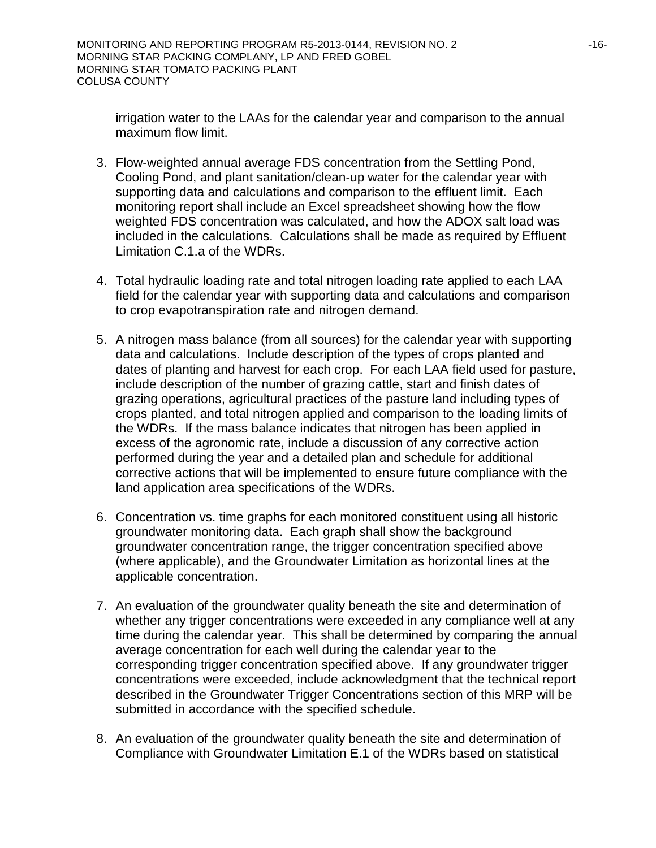irrigation water to the LAAs for the calendar year and comparison to the annual maximum flow limit.

- 3. Flow-weighted annual average FDS concentration from the Settling Pond, Cooling Pond, and plant sanitation/clean-up water for the calendar year with supporting data and calculations and comparison to the effluent limit. Each monitoring report shall include an Excel spreadsheet showing how the flow weighted FDS concentration was calculated, and how the ADOX salt load was included in the calculations. Calculations shall be made as required by Effluent Limitation C.1.a of the WDRs.
- 4. Total hydraulic loading rate and total nitrogen loading rate applied to each LAA field for the calendar year with supporting data and calculations and comparison to crop evapotranspiration rate and nitrogen demand.
- 5. A nitrogen mass balance (from all sources) for the calendar year with supporting data and calculations. Include description of the types of crops planted and dates of planting and harvest for each crop. For each LAA field used for pasture, include description of the number of grazing cattle, start and finish dates of grazing operations, agricultural practices of the pasture land including types of crops planted, and total nitrogen applied and comparison to the loading limits of the WDRs. If the mass balance indicates that nitrogen has been applied in excess of the agronomic rate, include a discussion of any corrective action performed during the year and a detailed plan and schedule for additional corrective actions that will be implemented to ensure future compliance with the land application area specifications of the WDRs.
- 6. Concentration vs. time graphs for each monitored constituent using all historic groundwater monitoring data. Each graph shall show the background groundwater concentration range, the trigger concentration specified above (where applicable), and the Groundwater Limitation as horizontal lines at the applicable concentration.
- 7. An evaluation of the groundwater quality beneath the site and determination of whether any trigger concentrations were exceeded in any compliance well at any time during the calendar year. This shall be determined by comparing the annual average concentration for each well during the calendar year to the corresponding trigger concentration specified above. If any groundwater trigger concentrations were exceeded, include acknowledgment that the technical report described in the Groundwater Trigger Concentrations section of this MRP will be submitted in accordance with the specified schedule.
- 8. An evaluation of the groundwater quality beneath the site and determination of Compliance with Groundwater Limitation E.1 of the WDRs based on statistical